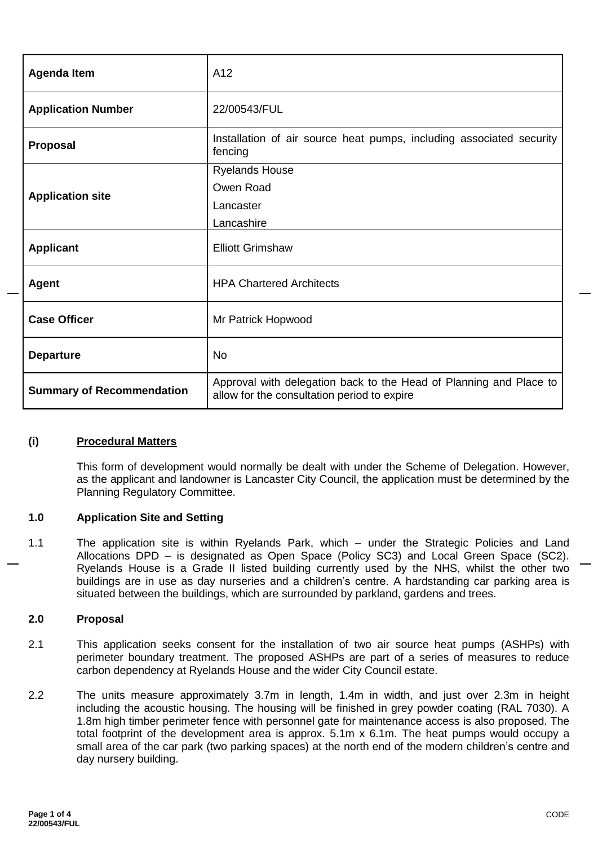| <b>Agenda Item</b>               | A12                                                                                                               |  |
|----------------------------------|-------------------------------------------------------------------------------------------------------------------|--|
| <b>Application Number</b>        | 22/00543/FUL                                                                                                      |  |
| <b>Proposal</b>                  | Installation of air source heat pumps, including associated security<br>fencing                                   |  |
|                                  | <b>Ryelands House</b>                                                                                             |  |
|                                  | Owen Road                                                                                                         |  |
| <b>Application site</b>          | Lancaster                                                                                                         |  |
|                                  | Lancashire                                                                                                        |  |
| <b>Applicant</b>                 | <b>Elliott Grimshaw</b>                                                                                           |  |
| <b>Agent</b>                     | <b>HPA Chartered Architects</b>                                                                                   |  |
| <b>Case Officer</b>              | Mr Patrick Hopwood                                                                                                |  |
| <b>Departure</b>                 | <b>No</b>                                                                                                         |  |
| <b>Summary of Recommendation</b> | Approval with delegation back to the Head of Planning and Place to<br>allow for the consultation period to expire |  |

## **(i) Procedural Matters**

This form of development would normally be dealt with under the Scheme of Delegation. However, as the applicant and landowner is Lancaster City Council, the application must be determined by the Planning Regulatory Committee.

#### **1.0 Application Site and Setting**

1.1 The application site is within Ryelands Park, which – under the Strategic Policies and Land Allocations DPD – is designated as Open Space (Policy SC3) and Local Green Space (SC2). Ryelands House is a Grade II listed building currently used by the NHS, whilst the other two buildings are in use as day nurseries and a children's centre. A hardstanding car parking area is situated between the buildings, which are surrounded by parkland, gardens and trees.

### **2.0 Proposal**

- 2.1 This application seeks consent for the installation of two air source heat pumps (ASHPs) with perimeter boundary treatment. The proposed ASHPs are part of a series of measures to reduce carbon dependency at Ryelands House and the wider City Council estate.
- 2.2 The units measure approximately 3.7m in length, 1.4m in width, and just over 2.3m in height including the acoustic housing. The housing will be finished in grey powder coating (RAL 7030). A 1.8m high timber perimeter fence with personnel gate for maintenance access is also proposed. The total footprint of the development area is approx. 5.1m x 6.1m. The heat pumps would occupy a small area of the car park (two parking spaces) at the north end of the modern children's centre and day nursery building.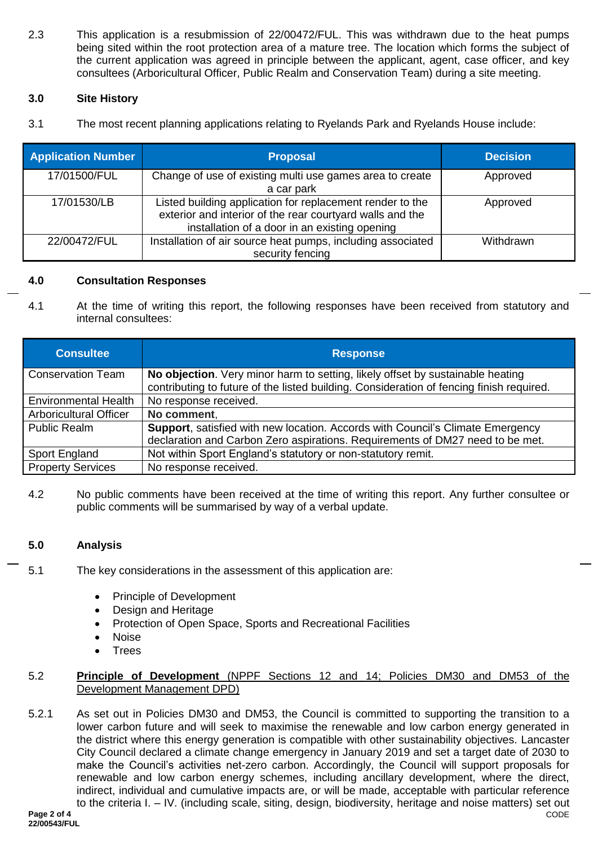2.3 This application is a resubmission of 22/00472/FUL. This was withdrawn due to the heat pumps being sited within the root protection area of a mature tree. The location which forms the subject of the current application was agreed in principle between the applicant, agent, case officer, and key consultees (Arboricultural Officer, Public Realm and Conservation Team) during a site meeting.

# **3.0 Site History**

3.1 The most recent planning applications relating to Ryelands Park and Ryelands House include:

| <b>Application Number</b> | <b>Proposal</b>                                                                                                                                                         | <b>Decision</b> |
|---------------------------|-------------------------------------------------------------------------------------------------------------------------------------------------------------------------|-----------------|
| 17/01500/FUL              | Change of use of existing multi use games area to create<br>a car park                                                                                                  | Approved        |
| 17/01530/LB               | Listed building application for replacement render to the<br>exterior and interior of the rear courtyard walls and the<br>installation of a door in an existing opening | Approved        |
| 22/00472/FUL              | Installation of air source heat pumps, including associated<br>security fencing                                                                                         | Withdrawn       |

## **4.0 Consultation Responses**

4.1 At the time of writing this report, the following responses have been received from statutory and internal consultees:

| <b>Consultee</b>              | <b>Response</b>                                                                          |
|-------------------------------|------------------------------------------------------------------------------------------|
| <b>Conservation Team</b>      | No objection. Very minor harm to setting, likely offset by sustainable heating           |
|                               | contributing to future of the listed building. Consideration of fencing finish required. |
| <b>Environmental Health</b>   | No response received.                                                                    |
| <b>Arboricultural Officer</b> | No comment.                                                                              |
| <b>Public Realm</b>           | Support, satisfied with new location. Accords with Council's Climate Emergency           |
|                               | declaration and Carbon Zero aspirations. Requirements of DM27 need to be met.            |
| Sport England                 | Not within Sport England's statutory or non-statutory remit.                             |
| <b>Property Services</b>      | No response received.                                                                    |

4.2 No public comments have been received at the time of writing this report. Any further consultee or public comments will be summarised by way of a verbal update.

## **5.0 Analysis**

- 5.1 The key considerations in the assessment of this application are:
	- Principle of Development
	- Design and Heritage
	- Protection of Open Space, Sports and Recreational Facilities
	- Noise
	- **Trees**

# 5.2 **Principle of Development** (NPPF Sections 12 and 14; Policies DM30 and DM53 of the Development Management DPD)

CODE 5.2.1 As set out in Policies DM30 and DM53, the Council is committed to supporting the transition to a lower carbon future and will seek to maximise the renewable and low carbon energy generated in the district where this energy generation is compatible with other sustainability objectives. Lancaster City Council declared a climate change emergency in January 2019 and set a target date of 2030 to make the Council's activities net-zero carbon. Accordingly, the Council will support proposals for renewable and low carbon energy schemes, including ancillary development, where the direct, indirect, individual and cumulative impacts are, or will be made, acceptable with particular reference to the criteria I. – IV. (including scale, siting, design, biodiversity, heritage and noise matters) set out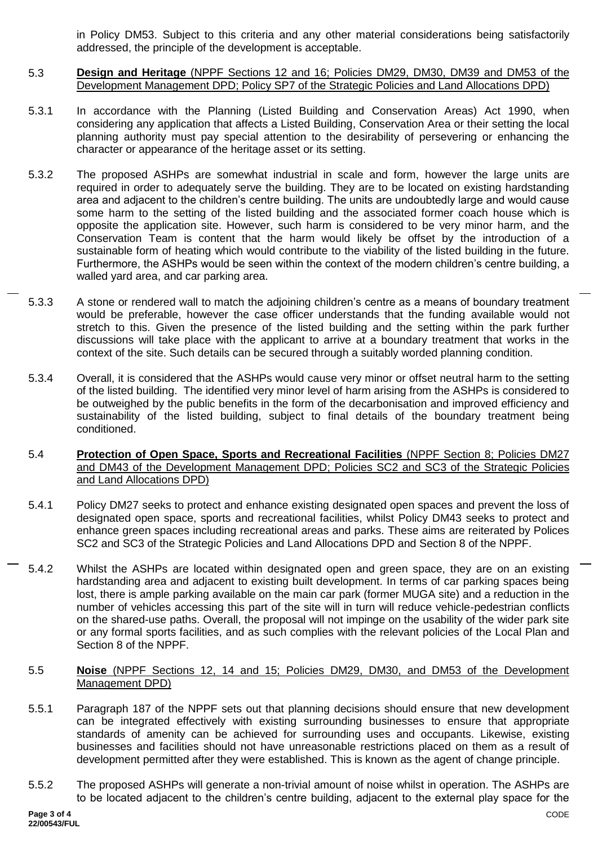in Policy DM53. Subject to this criteria and any other material considerations being satisfactorily addressed, the principle of the development is acceptable.

- 5.3 **Design and Heritage** (NPPF Sections 12 and 16; Policies DM29, DM30, DM39 and DM53 of the Development Management DPD; Policy SP7 of the Strategic Policies and Land Allocations DPD)
- 5.3.1 In accordance with the Planning (Listed Building and Conservation Areas) Act 1990, when considering any application that affects a Listed Building, Conservation Area or their setting the local planning authority must pay special attention to the desirability of persevering or enhancing the character or appearance of the heritage asset or its setting.
- 5.3.2 The proposed ASHPs are somewhat industrial in scale and form, however the large units are required in order to adequately serve the building. They are to be located on existing hardstanding area and adjacent to the children's centre building. The units are undoubtedly large and would cause some harm to the setting of the listed building and the associated former coach house which is opposite the application site. However, such harm is considered to be very minor harm, and the Conservation Team is content that the harm would likely be offset by the introduction of a sustainable form of heating which would contribute to the viability of the listed building in the future. Furthermore, the ASHPs would be seen within the context of the modern children's centre building, a walled yard area, and car parking area.
- 5.3.3 A stone or rendered wall to match the adjoining children's centre as a means of boundary treatment would be preferable, however the case officer understands that the funding available would not stretch to this. Given the presence of the listed building and the setting within the park further discussions will take place with the applicant to arrive at a boundary treatment that works in the context of the site. Such details can be secured through a suitably worded planning condition.
- 5.3.4 Overall, it is considered that the ASHPs would cause very minor or offset neutral harm to the setting of the listed building. The identified very minor level of harm arising from the ASHPs is considered to be outweighed by the public benefits in the form of the decarbonisation and improved efficiency and sustainability of the listed building, subject to final details of the boundary treatment being conditioned.
- 5.4 **Protection of Open Space, Sports and Recreational Facilities** (NPPF Section 8; Policies DM27 and DM43 of the Development Management DPD; Policies SC2 and SC3 of the Strategic Policies and Land Allocations DPD)
- 5.4.1 Policy DM27 seeks to protect and enhance existing designated open spaces and prevent the loss of designated open space, sports and recreational facilities, whilst Policy DM43 seeks to protect and enhance green spaces including recreational areas and parks. These aims are reiterated by Polices SC2 and SC3 of the Strategic Policies and Land Allocations DPD and Section 8 of the NPPF.
- 5.4.2 Whilst the ASHPs are located within designated open and green space, they are on an existing hardstanding area and adjacent to existing built development. In terms of car parking spaces being lost, there is ample parking available on the main car park (former MUGA site) and a reduction in the number of vehicles accessing this part of the site will in turn will reduce vehicle-pedestrian conflicts on the shared-use paths. Overall, the proposal will not impinge on the usability of the wider park site or any formal sports facilities, and as such complies with the relevant policies of the Local Plan and Section 8 of the NPPF.
- 5.5 **Noise** (NPPF Sections 12, 14 and 15; Policies DM29, DM30, and DM53 of the Development Management DPD)
- 5.5.1 Paragraph 187 of the NPPF sets out that planning decisions should ensure that new development can be integrated effectively with existing surrounding businesses to ensure that appropriate standards of amenity can be achieved for surrounding uses and occupants. Likewise, existing businesses and facilities should not have unreasonable restrictions placed on them as a result of development permitted after they were established. This is known as the agent of change principle.
- 5.5.2 The proposed ASHPs will generate a non-trivial amount of noise whilst in operation. The ASHPs are to be located adjacent to the children's centre building, adjacent to the external play space for the